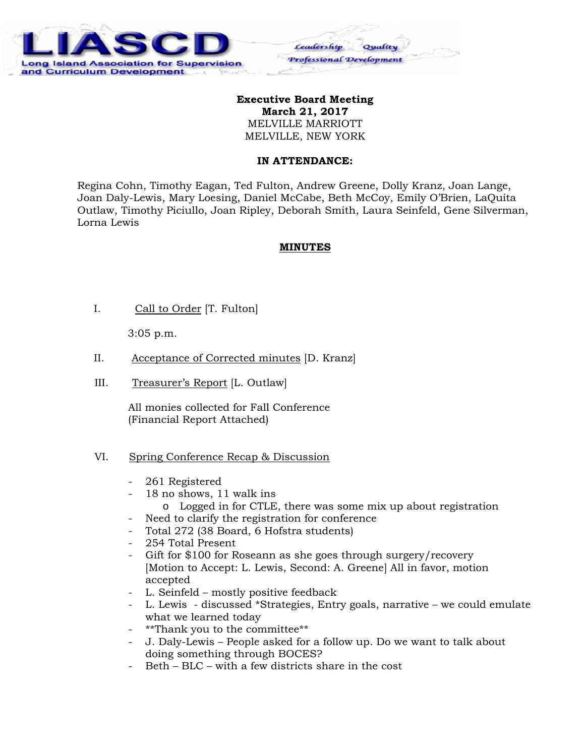

### **Executive Board Meeting March 21, 2017**  MELVILLE MARRIOTT MELVILLE, NEW YORK

Ceadership

Professional Development

#### **IN ATTENDANCE:**

Regina Cohn, Timothy Eagan, Ted Fulton, Andrew Greene, Dolly Kranz, Joan Lange, Joan Daly-Lewis, Mary Loesing, Daniel McCabe, Beth McCoy, Emily O'Brien, LaQuita Outlaw, Timothy Piciullo, Joan Ripley, Deborah Smith, Laura Seinfeld, Gene Silverman, Lorna Lewis

#### **MINUTES**

I. Call to Order [T. Fulton]

3:05 p.m.

- II. Acceptance of Corrected minutes [D. Kranz]
- III. Treasurer's Report [L. Outlaw]

 All monies collected for Fall Conference (Financial Report Attached)

### VI. Spring Conference Recap & Discussion

- 261 Registered
- 18 no shows, 11 walk ins
	- o Logged in for CTLE, there was some mix up about registration
- Need to clarify the registration for conference
- Total 272 (38 Board, 6 Hofstra students)
- 254 Total Present
- Gift for \$100 for Roseann as she goes through surgery/recovery [Motion to Accept: L. Lewis, Second: A. Greene] All in favor, motion accepted
- L. Seinfeld mostly positive feedback
- L. Lewis discussed \*Strategies, Entry goals, narrative we could emulate what we learned today
- \*\*Thank you to the committee\*\*
- J. Daly-Lewis People asked for a follow up. Do we want to talk about doing something through BOCES?
- Beth BLC with a few districts share in the cost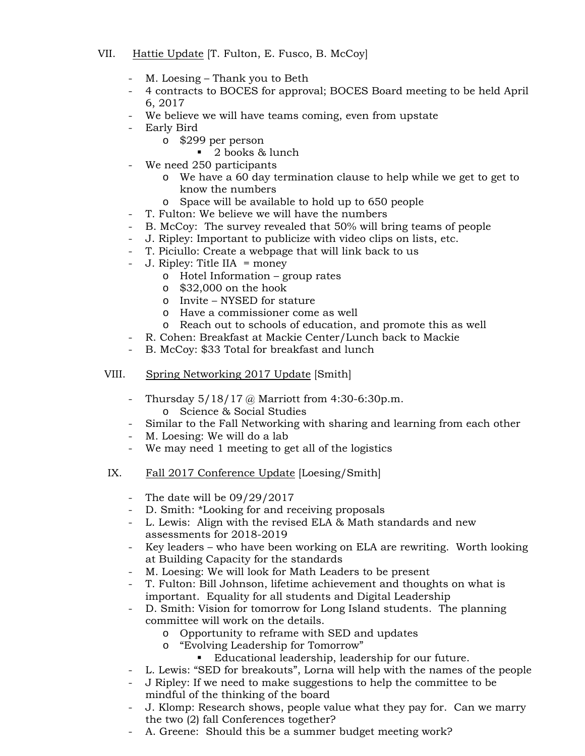## VII. Hattie Update [T. Fulton, E. Fusco, B. McCoy]

- M. Loesing Thank you to Beth
- 4 contracts to BOCES for approval; BOCES Board meeting to be held April 6, 2017
- We believe we will have teams coming, even from upstate
- Early Bird
	- o \$299 per person
		- 2 books & lunch
- We need 250 participants
	- o We have a 60 day termination clause to help while we get to get to know the numbers
	- o Space will be available to hold up to 650 people
	- T. Fulton: We believe we will have the numbers
- B. McCoy: The survey revealed that 50% will bring teams of people
- J. Ripley: Important to publicize with video clips on lists, etc.
- T. Piciullo: Create a webpage that will link back to us
- $J.$  Ripley: Title IIA = money
	- o Hotel Information group rates
	- o \$32,000 on the hook
	- o Invite NYSED for stature
	- o Have a commissioner come as well
	- o Reach out to schools of education, and promote this as well
- R. Cohen: Breakfast at Mackie Center/Lunch back to Mackie
- B. McCoy: \$33 Total for breakfast and lunch
- VIII. Spring Networking 2017 Update [Smith]
	- Thursday 5/18/17 @ Marriott from 4:30-6:30p.m. o Science & Social Studies
	- Similar to the Fall Networking with sharing and learning from each other
	- M. Loesing: We will do a lab
	- We may need 1 meeting to get all of the logistics
- IX. Fall 2017 Conference Update [Loesing/Smith]
	- The date will be  $09/29/2017$
	- D. Smith: \*Looking for and receiving proposals
	- L. Lewis: Align with the revised ELA & Math standards and new assessments for 2018-2019
	- Key leaders who have been working on ELA are rewriting. Worth looking at Building Capacity for the standards
	- M. Loesing: We will look for Math Leaders to be present
	- T. Fulton: Bill Johnson, lifetime achievement and thoughts on what is important. Equality for all students and Digital Leadership
	- D. Smith: Vision for tomorrow for Long Island students. The planning committee will work on the details.
		- o Opportunity to reframe with SED and updates
		- o "Evolving Leadership for Tomorrow"
			- Educational leadership, leadership for our future.
	- L. Lewis: "SED for breakouts", Lorna will help with the names of the people
	- J Ripley: If we need to make suggestions to help the committee to be mindful of the thinking of the board
	- J. Klomp: Research shows, people value what they pay for. Can we marry the two (2) fall Conferences together?
	- A. Greene: Should this be a summer budget meeting work?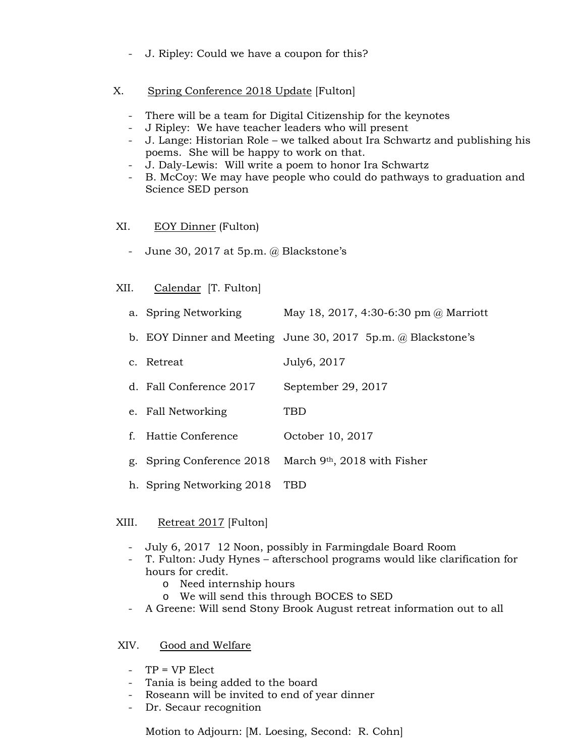- J. Ripley: Could we have a coupon for this?
- X. Spring Conference 2018 Update [Fulton]
	- There will be a team for Digital Citizenship for the keynotes
	- J Ripley: We have teacher leaders who will present
	- J. Lange: Historian Role we talked about Ira Schwartz and publishing his poems. She will be happy to work on that.
	- J. Daly-Lewis: Will write a poem to honor Ira Schwartz
	- B. McCoy: We may have people who could do pathways to graduation and Science SED person

## XI. EOY Dinner (Fulton)

- June 30, 2017 at 5p.m. @ Blackstone's

## XII. Calendar [T. Fulton]

- a. Spring Networking May 18, 2017, 4:30-6:30 pm @ Marriott
- b. EOY Dinner and Meeting June 30, 2017 5p.m. @ Blackstone's
- c. Retreat July6, 2017
- d. Fall Conference 2017 September 29, 2017
- e. Fall Networking TBD
- f. Hattie Conference October 10, 2017
- g. Spring Conference 2018 March 9th, 2018 with Fisher
- h. Spring Networking 2018 TBD

## XIII. Retreat 2017 [Fulton]

- July 6, 2017 12 Noon, possibly in Farmingdale Board Room
- T. Fulton: Judy Hynes afterschool programs would like clarification for hours for credit.
	- o Need internship hours
	- o We will send this through BOCES to SED
- A Greene: Will send Stony Brook August retreat information out to all

# XIV. Good and Welfare

- TP = VP Elect
- Tania is being added to the board
- Roseann will be invited to end of year dinner
- Dr. Secaur recognition

Motion to Adjourn: [M. Loesing, Second: R. Cohn]